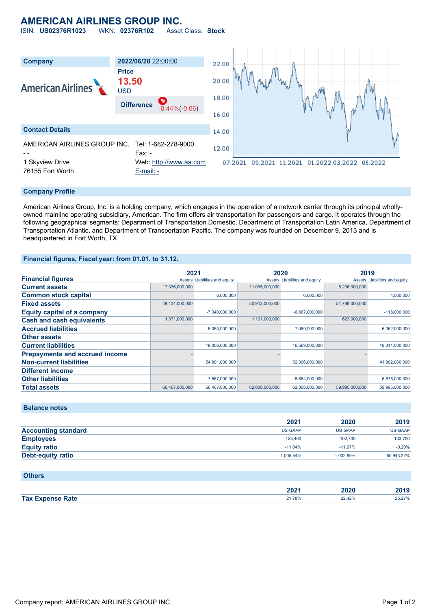# **AMERICAN AIRLINES GROUP INC.**

ISIN: **US02376R1023** WKN: **02376R102** Asset Class: **Stock**



#### **Company Profile**

American Airlines Group, Inc. is a holding company, which engages in the operation of a network carrier through its principal whollyowned mainline operating subsidiary, American. The firm offers air transportation for passengers and cargo. It operates through the following geographical segments: Department of Transportation Domestic, Department of Transportation Latin America, Department of Transportation Atlantic, and Department of Transportation Pacific. The company was founded on December 9, 2013 and is headquartered in Fort Worth, TX.

#### **Financial figures, Fiscal year: from 01.01. to 31.12.**

|                                       | 2021           |                               | 2020           |                               | 2019           |                               |
|---------------------------------------|----------------|-------------------------------|----------------|-------------------------------|----------------|-------------------------------|
| <b>Financial figures</b>              |                | Assets Liabilities and equity |                | Assets Liabilities and equity |                | Assets Liabilities and equity |
| <b>Current assets</b>                 | 17,336,000,000 |                               | 11,095,000,000 |                               | 8,206,000,000  |                               |
| <b>Common stock capital</b>           |                | 6,000,000                     |                | 6,000,000                     |                | 4,000,000                     |
| <b>Fixed assets</b>                   | 49,131,000,000 |                               | 50,913,000,000 |                               | 51,789,000,000 |                               |
| <b>Equity capital of a company</b>    |                | $-7,340,000,000$              |                | $-6,867,000,000$              |                | $-118,000,000$                |
| <b>Cash and cash equivalents</b>      | 1,371,000,000  |                               | 1,101,000,000  |                               | 623,000,000    |                               |
| <b>Accrued liabilities</b>            |                | 5,053,000,000                 |                | 7,069,000,000                 |                | 6,052,000,000                 |
| <b>Other assets</b>                   |                |                               |                |                               |                |                               |
| <b>Current liabilities</b>            |                | 19,006,000,000                |                | 16,569,000,000                |                | 18,311,000,000                |
| <b>Prepayments and accrued income</b> |                |                               |                |                               |                |                               |
| <b>Non-current liabilities</b>        |                | 54,801,000,000                |                | 52,306,000,000                |                | 41,802,000,000                |
| <b>Different income</b>               |                |                               |                |                               |                |                               |
| <b>Other liabilities</b>              |                | 7,567,000,000                 |                | 8,664,000,000                 |                | 6,875,000,000                 |
| <b>Total assets</b>                   | 66,467,000,000 | 66,467,000,000                | 62,008,000,000 | 62,008,000,000                | 59,995,000,000 | 59,995,000,000                |

## **Balance notes**

|                            | 2021         | 2020           | 2019           |
|----------------------------|--------------|----------------|----------------|
| <b>Accounting standard</b> | US-GAAP      | <b>US-GAAP</b> | US-GAAP        |
| <b>Employees</b>           | 123,400      | 102.700        | 133,700        |
| <b>Equity ratio</b>        | $-11.04%$    | $-11.07%$      | $-0.20%$       |
| Debt-equity ratio          | $-1.005.54%$ | $-1.002.99%$   | $-50.943.22\%$ |

#### **Others**

|                         | ר הר<br>ZUZ 1 | 2020   | 2019           |
|-------------------------|---------------|--------|----------------|
| <b>Tax Expense Rate</b> | 21.78%        | 22.42% | 5.270/<br>LJ.L |